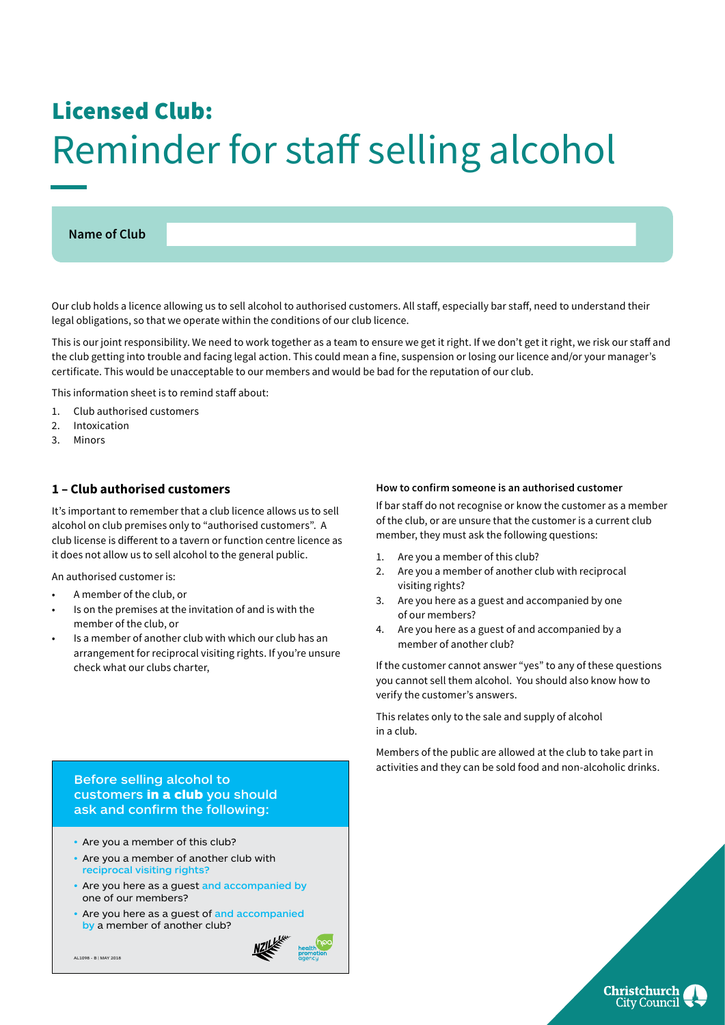# Licensed Club: Reminder for staff selling alcohol

## **Name of Club**

Our club holds a licence allowing us to sell alcohol to authorised customers. All staff, especially bar staff, need to understand their legal obligations, so that we operate within the conditions of our club licence.

This is our joint responsibility. We need to work together as a team to ensure we get it right. If we don't get it right, we risk our staff and the club getting into trouble and facing legal action. This could mean a fine, suspension or losing our licence and/or your manager's certificate. This would be unacceptable to our members and would be bad for the reputation of our club.

This information sheet is to remind staff about:

- 1. Club authorised customers
- 2. Intoxication
- 3. Minors

## **1 – Club authorised customers**

It's important to remember that a club licence allows us to sell alcohol on club premises only to "authorised customers". A club license is different to a tavern or function centre licence as it does not allow us to sell alcohol to the general public.

An authorised customer is:

- A member of the club, or
- Is on the premises at the invitation of and is with the member of the club, or
- Is a member of another club with which our club has an arrangement for reciprocal visiting rights. If you're unsure check what our clubs charter,

#### **How to confirm someone is an authorised customer**

If bar staff do not recognise or know the customer as a member of the club, or are unsure that the customer is a current club member, they must ask the following questions:

- 1. Are you a member of this club?
- 2. Are you a member of another club with reciprocal visiting rights?
- 3. Are you here as a guest and accompanied by one of our members?
- 4. Are you here as a guest of and accompanied by a member of another club?

If the customer cannot answer "yes" to any of these questions you cannot sell them alcohol. You should also know how to verify the customer's answers.

This relates only to the sale and supply of alcohol in a club.

Members of the public are allowed at the club to take part in activities and they can be sold food and non-alcoholic drinks.

> **Christchurch City Council**

Before selling alcohol to customers in a club you should ask and confirm the following:

- Are you a member of this club?
- Are you a member of another club with reciprocal visiting rights?
- Are you here as a guest and accompanied by one of our members?
- Are you here as a quest of and accompanied by a member of another club?

AL1098 - B | MAY 2018